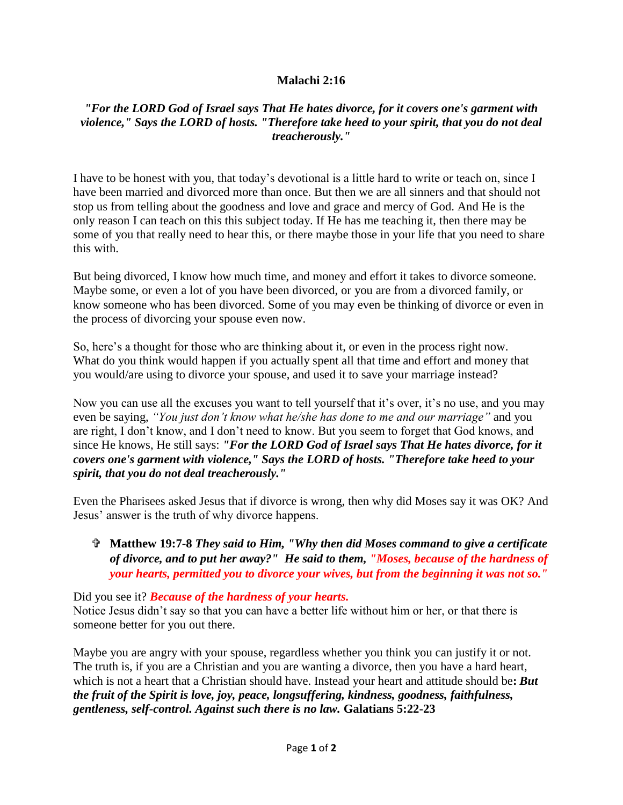## **Malachi 2:16**

## *"For the LORD God of Israel says That He hates divorce, for it covers one's garment with violence," Says the LORD of hosts. "Therefore take heed to your spirit, that you do not deal treacherously."*

I have to be honest with you, that today's devotional is a little hard to write or teach on, since I have been married and divorced more than once. But then we are all sinners and that should not stop us from telling about the goodness and love and grace and mercy of God. And He is the only reason I can teach on this this subject today. If He has me teaching it, then there may be some of you that really need to hear this, or there maybe those in your life that you need to share this with.

But being divorced, I know how much time, and money and effort it takes to divorce someone. Maybe some, or even a lot of you have been divorced, or you are from a divorced family, or know someone who has been divorced. Some of you may even be thinking of divorce or even in the process of divorcing your spouse even now.

So, here's a thought for those who are thinking about it, or even in the process right now. What do you think would happen if you actually spent all that time and effort and money that you would/are using to divorce your spouse, and used it to save your marriage instead?

Now you can use all the excuses you want to tell yourself that it's over, it's no use, and you may even be saying, *"You just don't know what he/she has done to me and our marriage"* and you are right, I don't know, and I don't need to know. But you seem to forget that God knows, and since He knows, He still says: *"For the LORD God of Israel says That He hates divorce, for it covers one's garment with violence," Says the LORD of hosts. "Therefore take heed to your spirit, that you do not deal treacherously."*

Even the Pharisees asked Jesus that if divorce is wrong, then why did Moses say it was OK? And Jesus' answer is the truth of why divorce happens.

 **Matthew 19:7-8** *They said to Him, "Why then did Moses command to give a certificate of divorce, and to put her away?" He said to them, "Moses, because of the hardness of your hearts, permitted you to divorce your wives, but from the beginning it was not so."*

Did you see it? *Because of the hardness of your hearts.* Notice Jesus didn't say so that you can have a better life without him or her, or that there is someone better for you out there.

Maybe you are angry with your spouse, regardless whether you think you can justify it or not. The truth is, if you are a Christian and you are wanting a divorce, then you have a hard heart, which is not a heart that a Christian should have. Instead your heart and attitude should be**:** *But the fruit of the Spirit is love, joy, peace, longsuffering, kindness, goodness, faithfulness, gentleness, self-control. Against such there is no law.* **Galatians 5:22-23**